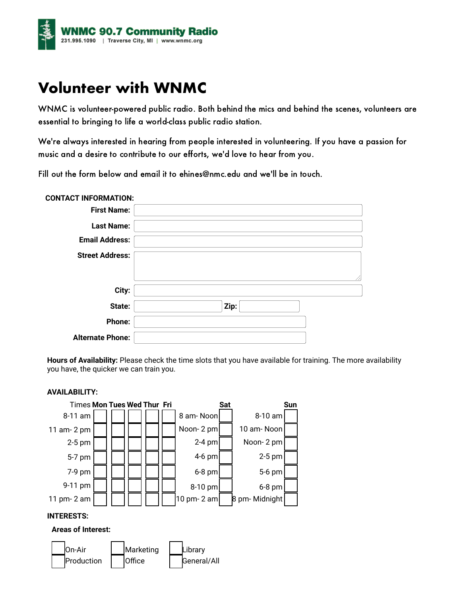

# **Volunteer with WNMC**

WNMC is volunteer-powered public radio. Both behind the mics and behind the scenes, volunteers are essential to bringing to life a world-class public radio station.

We're always interested in hearing from people interested in volunteering. If you have a passion for music and a desire to contribute to our efforts, we'd love to hear from you.

Fill out the form below and email it to [ehines@nmc.edu and](mailto:ehines@nmc.edu) we'll be in touch.

| <b>CONTACT INFORMATION:</b> |      |
|-----------------------------|------|
| <b>First Name:</b>          |      |
| <b>Last Name:</b>           |      |
| <b>Email Address:</b>       |      |
| <b>Street Address:</b>      |      |
| City:                       |      |
| State:                      | Zip: |
| Phone:                      |      |
| <b>Alternate Phone:</b>     |      |

**Hours of Availability:** Please check the time slots that you have available for training. The more availability you have, the quicker we can train you.

### **AVAILABILITY:**



## **INTERESTS:**

## **Areas of Interest:**